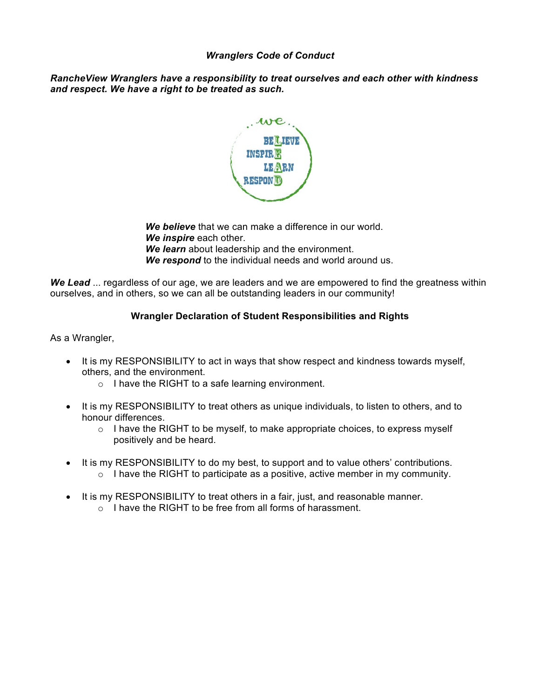## *Wranglers Code of Conduct*

*RancheView Wranglers have a responsibility to treat ourselves and each other with kindness and respect. We have a right to be treated as such.*



*We believe* that we can make a difference in our world. *We inspire* each other. *We learn* about leadership and the environment. *We respond* to the individual needs and world around us.

*We Lead* ... regardless of our age, we are leaders and we are empowered to find the greatness within ourselves, and in others, so we can all be outstanding leaders in our community!

## **Wrangler Declaration of Student Responsibilities and Rights**

As a Wrangler,

- It is my RESPONSIBILITY to act in ways that show respect and kindness towards myself, others, and the environment.
	- o I have the RIGHT to a safe learning environment.
- It is my RESPONSIBILITY to treat others as unique individuals, to listen to others, and to honour differences.
	- $\circ$  I have the RIGHT to be myself, to make appropriate choices, to express myself positively and be heard.
- It is my RESPONSIBILITY to do my best, to support and to value others' contributions.  $\circ$  I have the RIGHT to participate as a positive, active member in my community.
- It is my RESPONSIBILITY to treat others in a fair, just, and reasonable manner.
	- o I have the RIGHT to be free from all forms of harassment.